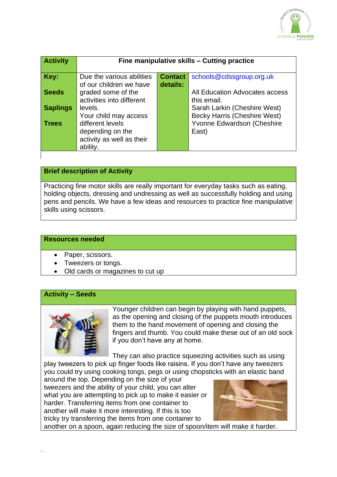

| <b>Activity</b> | Fine manipulative skills - Cutting practice                                |                |                                                                   |
|-----------------|----------------------------------------------------------------------------|----------------|-------------------------------------------------------------------|
| Key:            | Due the various abilities                                                  | <b>Contact</b> | schools@cdssgroup.org.uk                                          |
| <b>Seeds</b>    | of our children we have<br>graded some of the<br>activities into different | details:       | All Education Advocates access<br>this email.                     |
| <b>Saplings</b> | levels.                                                                    |                | Sarah Larkin (Cheshire West)                                      |
| <b>Trees</b>    | Your child may access<br>different levels                                  |                | <b>Becky Harris (Cheshire West)</b><br>Yvonne Edwardson (Cheshire |
|                 | depending on the                                                           |                | East)                                                             |
|                 | activity as well as their<br>ability.                                      |                |                                                                   |

## **Brief description of Activity**

Practicing fine motor skills are really important for everyday tasks such as eating, holding objects, dressing and undressing as well as successfully holding and using pens and pencils. We have a few ideas and resources to practice fine manipulative skills using scissors.

#### **Resources needed**

- Paper, scissors.
- Tweezers or tongs.
- Old cards or magazines to cut up

### **Activity – Seeds**



Younger children can begin by playing with hand puppets, as the opening and closing of the puppets mouth introduces them to the hand movement of opening and closing the fingers and thumb. You could make these out of an old sock if you don't have any at home.

They can also practice squeezing activities such as using play tweezers to pick up finger foods like raisins. If you don't have any tweezers you could try using cooking tongs, pegs or using chopsticks with an elastic band

around the top. Depending on the size of your tweezers and the ability of your child, you can alter what you are attempting to pick up to make it easier or harder. Transferring items from one container to another will make it more interesting. If this is too tricky try transferring the items from one container to



another on a spoon, again reducing the size of spoon/item will make it harder.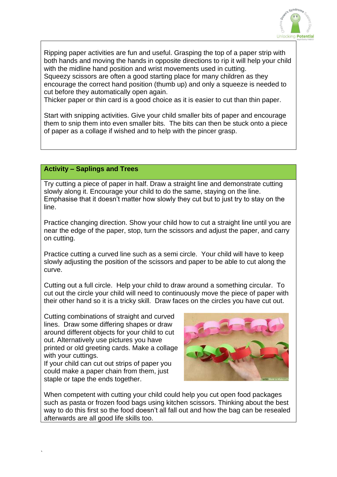

Ripping paper activities are fun and useful. Grasping the top of a paper strip with both hands and moving the hands in opposite directions to rip it will help your child with the midline hand position and wrist movements used in cutting. Squeezy scissors are often a good starting place for many children as they encourage the correct hand position (thumb up) and only a squeeze is needed to cut before they automatically open again.

Thicker paper or thin card is a good choice as it is easier to cut than thin paper.

Start with snipping activities. Give your child smaller bits of paper and encourage them to snip them into even smaller bits. The bits can then be stuck onto a piece of paper as a collage if wished and to help with the pincer grasp.

#### **Activity – Saplings and Trees**

Try cutting a piece of paper in half. Draw a straight line and demonstrate cutting slowly along it. Encourage your child to do the same, staying on the line. Emphasise that it doesn't matter how slowly they cut but to just try to stay on the line.

Practice changing direction. Show your child how to cut a straight line until you are near the edge of the paper, stop, turn the scissors and adjust the paper, and carry on cutting.

Practice cutting a curved line such as a semi circle. Your child will have to keep slowly adjusting the position of the scissors and paper to be able to cut along the curve.

Cutting out a full circle. Help your child to draw around a something circular. To cut out the circle your child will need to continuously move the piece of paper with their other hand so it is a tricky skill. Draw faces on the circles you have cut out.

Cutting combinations of straight and curved lines. Draw some differing shapes or draw around different objects for your child to cut out. Alternatively use pictures you have printed or old greeting cards. Make a collage with your cuttings.

If your child can cut out strips of paper you could make a paper chain from them, just staple or tape the ends together.

`



When competent with cutting your child could help you cut open food packages such as pasta or frozen food bags using kitchen scissors. Thinking about the best way to do this first so the food doesn't all fall out and how the bag can be resealed afterwards are all good life skills too.